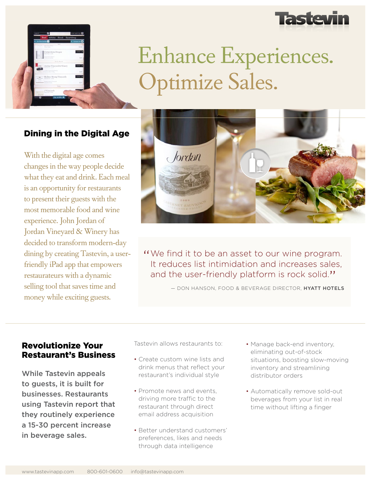



# Enhance Experiences. Optimize Sales.

## Dining in the Digital Age

With the digital age comes changes in the way people decide what they eat and drink. Each meal is an opportunity for restaurants to present their guests with the most memorable food and wine experience. John Jordan of Jordan Vineyard & Winery has decided to transform modern-day dining by creating Tastevin, a userfriendly iPad app that empowers restaurateurs with a dynamic selling tool that saves time and money while exciting guests.



"We find it to be an asset to our wine program.<br>It reduces list intimidation and increases sales It reduces list intimidation and increases sales, and the user-friendly platform is rock solid."

— DON HANSON, FOOD & BEVERAGE DIRECTOR, HYATT HOTELS

#### Revolutionize Your Restaurant's Business

While Tastevin appeals to guests, it is built for businesses. Restaurants using Tastevin report that they routinely experience a 15-30 percent increase in beverage sales.

Tastevin allows restaurants to:

- Create custom wine lists and drink menus that reflect your restaurant's individual style
- Promote news and events, driving more traffic to the restaurant through direct email address acquisition
- Better understand customers' preferences, likes and needs through data intelligence
- Manage back-end inventory, eliminating out-of-stock situations, boosting slow-moving inventory and streamlining distributor orders
- Automatically remove sold-out beverages from your list in real time without lifting a finger